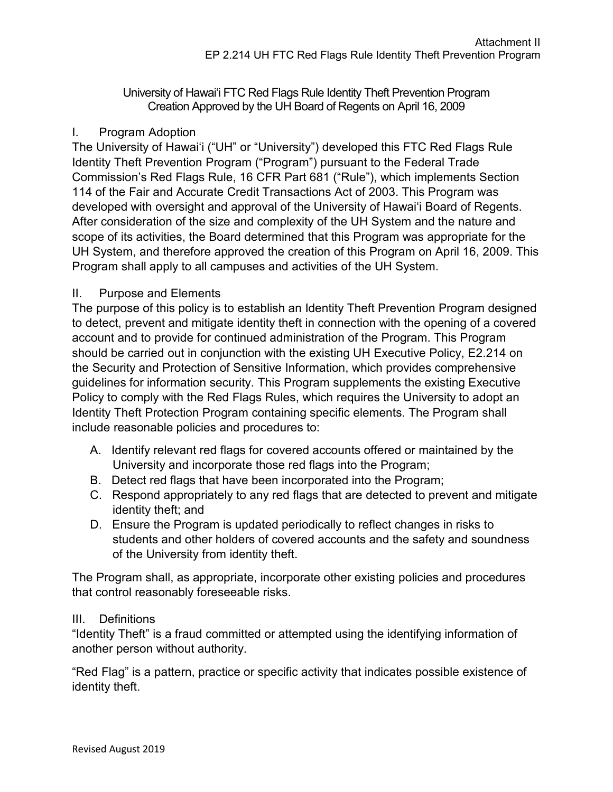University of Hawai'i FTC Red Flags Rule Identity Theft Prevention Program Creation Approved by the UH Board of Regents on April 16, 2009

## I. Program Adoption

The University of Hawai'i ("UH" or "University") developed this FTC Red Flags Rule Identity Theft Prevention Program ("Program") pursuant to the Federal Trade Commission's Red Flags Rule, 16 CFR Part 681 ("Rule"), which implements Section 114 of the Fair and Accurate Credit Transactions Act of 2003. This Program was developed with oversight and approval of the University of Hawai'i Board of Regents. After consideration of the size and complexity of the UH System and the nature and scope of its activities, the Board determined that this Program was appropriate for the UH System, and therefore approved the creation of this Program on April 16, 2009. This Program shall apply to all campuses and activities of the UH System.

## II. Purpose and Elements

The purpose of this policy is to establish an Identity Theft Prevention Program designed to detect, prevent and mitigate identity theft in connection with the opening of a covered account and to provide for continued administration of the Program. This Program should be carried out in conjunction with the existing UH Executive Policy, E2.214 on the Security and Protection of Sensitive Information, which provides comprehensive guidelines for information security. This Program supplements the existing Executive Policy to comply with the Red Flags Rules, which requires the University to adopt an Identity Theft Protection Program containing specific elements. The Program shall include reasonable policies and procedures to:

- A. Identify relevant red flags for covered accounts offered or maintained by the University and incorporate those red flags into the Program;
- B. Detect red flags that have been incorporated into the Program;
- C. Respond appropriately to any red flags that are detected to prevent and mitigate identity theft; and
- D. Ensure the Program is updated periodically to reflect changes in risks to students and other holders of covered accounts and the safety and soundness of the University from identity theft.

The Program shall, as appropriate, incorporate other existing policies and procedures that control reasonably foreseeable risks.

# III. Definitions

"Identity Theft" is a fraud committed or attempted using the identifying information of another person without authority.

"Red Flag" is a pattern, practice or specific activity that indicates possible existence of identity theft.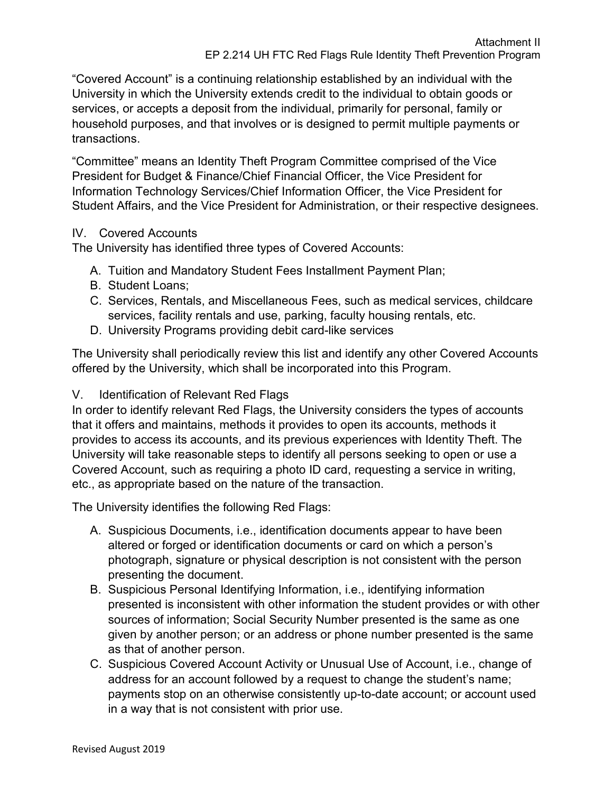"Covered Account" is a continuing relationship established by an individual with the University in which the University extends credit to the individual to obtain goods or services, or accepts a deposit from the individual, primarily for personal, family or household purposes, and that involves or is designed to permit multiple payments or transactions.

"Committee" means an Identity Theft Program Committee comprised of the Vice President for Budget & Finance/Chief Financial Officer, the Vice President for Information Technology Services/Chief Information Officer, the Vice President for Student Affairs, and the Vice President for Administration, or their respective designees.

#### IV. Covered Accounts

The University has identified three types of Covered Accounts:

- A. Tuition and Mandatory Student Fees Installment Payment Plan;
- B. Student Loans;
- C. Services, Rentals, and Miscellaneous Fees, such as medical services, childcare services, facility rentals and use, parking, faculty housing rentals, etc.
- D. University Programs providing debit card-like services

The University shall periodically review this list and identify any other Covered Accounts offered by the University, which shall be incorporated into this Program.

#### V. Identification of Relevant Red Flags

In order to identify relevant Red Flags, the University considers the types of accounts that it offers and maintains, methods it provides to open its accounts, methods it provides to access its accounts, and its previous experiences with Identity Theft. The University will take reasonable steps to identify all persons seeking to open or use a Covered Account, such as requiring a photo ID card, requesting a service in writing, etc., as appropriate based on the nature of the transaction.

The University identifies the following Red Flags:

- A. Suspicious Documents, i.e., identification documents appear to have been altered or forged or identification documents or card on which a person's photograph, signature or physical description is not consistent with the person presenting the document.
- B. Suspicious Personal Identifying Information, i.e., identifying information presented is inconsistent with other information the student provides or with other sources of information; Social Security Number presented is the same as one given by another person; or an address or phone number presented is the same as that of another person.
- C. Suspicious Covered Account Activity or Unusual Use of Account, i.e., change of address for an account followed by a request to change the student's name; payments stop on an otherwise consistently up-to-date account; or account used in a way that is not consistent with prior use.